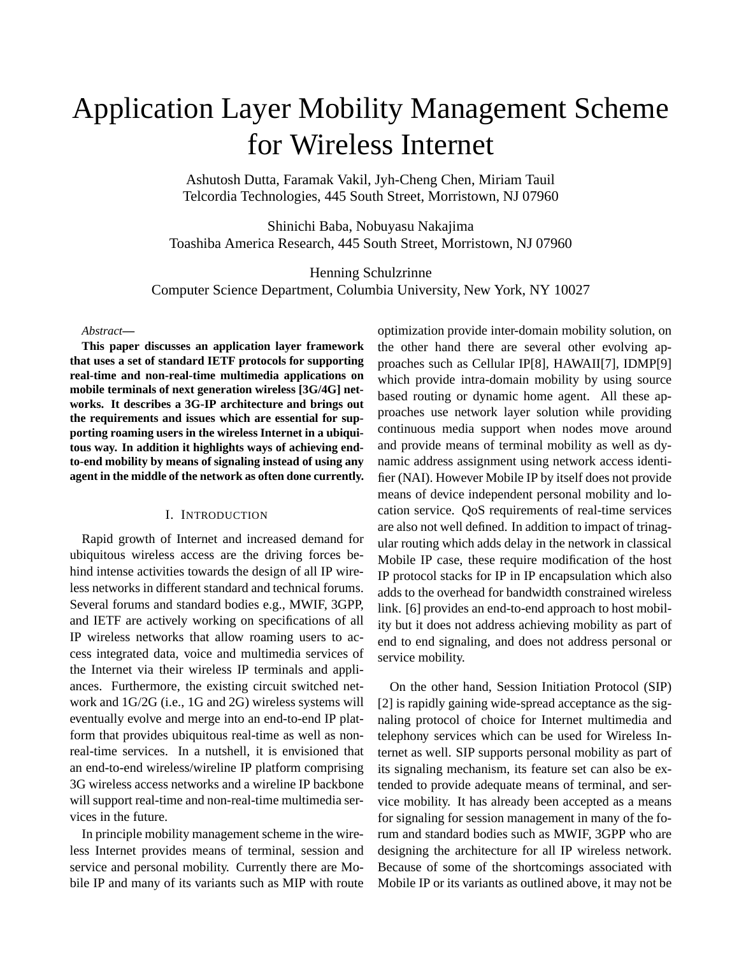# Application Layer Mobility Management Scheme for Wireless Internet

Ashutosh Dutta, Faramak Vakil, Jyh-Cheng Chen, Miriam Tauil Telcordia Technologies, 445 South Street, Morristown, NJ 07960

Shinichi Baba, Nobuyasu Nakajima Toashiba America Research, 445 South Street, Morristown, NJ 07960

Henning Schulzrinne Computer Science Department, Columbia University, New York, NY 10027

#### *Abstract***—**

**This paper discusses an application layer framework that uses a set of standard IETF protocols for supporting real-time and non-real-time multimedia applications on mobile terminals of next generation wireless [3G/4G] networks. It describes a 3G-IP architecture and brings out the requirements and issues which are essential for supporting roaming users in the wireless Internet in a ubiquitous way. In addition it highlights ways of achieving endto-end mobility by means of signaling instead of using any agent in the middle of the network as often done currently.**

## I. INTRODUCTION

Rapid growth of Internet and increased demand for ubiquitous wireless access are the driving forces behind intense activities towards the design of all IP wireless networks in different standard and technical forums. Several forums and standard bodies e.g., MWIF, 3GPP, and IETF are actively working on specifications of all IP wireless networks that allow roaming users to access integrated data, voice and multimedia services of the Internet via their wireless IP terminals and appliances. Furthermore, the existing circuit switched network and 1G/2G (i.e., 1G and 2G) wireless systems will eventually evolve and merge into an end-to-end IP platform that provides ubiquitous real-time as well as nonreal-time services. In a nutshell, it is envisioned that an end-to-end wireless/wireline IP platform comprising 3G wireless access networks and a wireline IP backbone will support real-time and non-real-time multimedia services in the future.

In principle mobility management scheme in the wireless Internet provides means of terminal, session and service and personal mobility. Currently there are Mobile IP and many of its variants such as MIP with route optimization provide inter-domain mobility solution, on the other hand there are several other evolving approaches such as Cellular IP[8], HAWAII[7], IDMP[9] which provide intra-domain mobility by using source based routing or dynamic home agent. All these approaches use network layer solution while providing continuous media support when nodes move around and provide means of terminal mobility as well as dynamic address assignment using network access identifier (NAI). However Mobile IP by itself does not provide means of device independent personal mobility and location service. QoS requirements of real-time services are also not well defined. In addition to impact of trinagular routing which adds delay in the network in classical Mobile IP case, these require modification of the host IP protocol stacks for IP in IP encapsulation which also adds to the overhead for bandwidth constrained wireless link. [6] provides an end-to-end approach to host mobility but it does not address achieving mobility as part of end to end signaling, and does not address personal or service mobility.

On the other hand, Session Initiation Protocol (SIP) [2] is rapidly gaining wide-spread acceptance as the signaling protocol of choice for Internet multimedia and telephony services which can be used for Wireless Internet as well. SIP supports personal mobility as part of its signaling mechanism, its feature set can also be extended to provide adequate means of terminal, and service mobility. It has already been accepted as a means for signaling for session management in many of the forum and standard bodies such as MWIF, 3GPP who are designing the architecture for all IP wireless network. Because of some of the shortcomings associated with Mobile IP or its variants as outlined above, it may not be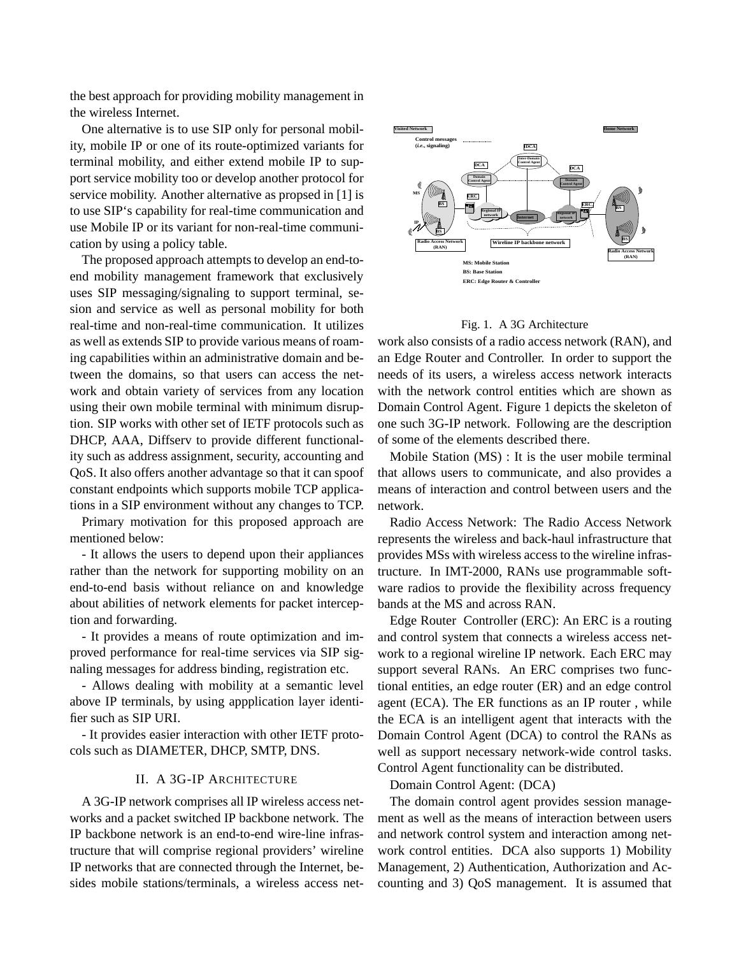the best approach for providing mobility management in the wireless Internet.

One alternative is to use SIP only for personal mobility, mobile IP or one of its route-optimized variants for terminal mobility, and either extend mobile IP to support service mobility too or develop another protocol for service mobility. Another alternative as propsed in [1] is to use SIP's capability for real-time communication and use Mobile IP or its variant for non-real-time communication by using a policy table.

The proposed approach attempts to develop an end-toend mobility management framework that exclusively uses SIP messaging/signaling to support terminal, sesion and service as well as personal mobility for both real-time and non-real-time communication. It utilizes as well as extends SIP to provide various means of roaming capabilities within an administrative domain and between the domains, so that users can access the network and obtain variety of services from any location using their own mobile terminal with minimum disruption. SIP works with other set of IETF protocols such as DHCP, AAA, Diffserv to provide different functionality such as address assignment, security, accounting and QoS. It also offers another advantage so that it can spoof constant endpoints which supports mobile TCP applications in a SIP environment without any changes to TCP.

Primary motivation for this proposed approach are mentioned below:

- It allows the users to depend upon their appliances rather than the network for supporting mobility on an end-to-end basis without reliance on and knowledge about abilities of network elements for packet interception and forwarding.

- It provides a means of route optimization and improved performance for real-time services via SIP signaling messages for address binding, registration etc.

- Allows dealing with mobility at a semantic level above IP terminals, by using appplication layer identifier such as SIP URI.

- It provides easier interaction with other IETF protocols such as DIAMETER, DHCP, SMTP, DNS.

# II. A 3G-IP ARCHITECTURE

A 3G-IP network comprises all IP wireless access networks and a packet switched IP backbone network. The IP backbone network is an end-to-end wire-line infrastructure that will comprise regional providers' wireline IP networks that are connected through the Internet, besides mobile stations/terminals, a wireless access net-



#### Fig. 1. A 3G Architecture

work also consists of a radio access network (RAN), and an Edge Router and Controller. In order to support the needs of its users, a wireless access network interacts with the network control entities which are shown as Domain Control Agent. Figure 1 depicts the skeleton of one such 3G-IP network. Following are the description of some of the elements described there.

Mobile Station (MS) : It is the user mobile terminal that allows users to communicate, and also provides a means of interaction and control between users and the network.

Radio Access Network: The Radio Access Network represents the wireless and back-haul infrastructure that provides MSs with wireless access to the wireline infrastructure. In IMT-2000, RANs use programmable software radios to provide the flexibility across frequency bands at the MS and across RAN.

Edge Router Controller (ERC): An ERC is a routing and control system that connects a wireless access network to a regional wireline IP network. Each ERC may support several RANs. An ERC comprises two functional entities, an edge router (ER) and an edge control agent (ECA). The ER functions as an IP router , while the ECA is an intelligent agent that interacts with the Domain Control Agent (DCA) to control the RANs as well as support necessary network-wide control tasks. Control Agent functionality can be distributed.

Domain Control Agent: (DCA)

The domain control agent provides session management as well as the means of interaction between users and network control system and interaction among network control entities. DCA also supports 1) Mobility Management, 2) Authentication, Authorization and Accounting and 3) QoS management. It is assumed that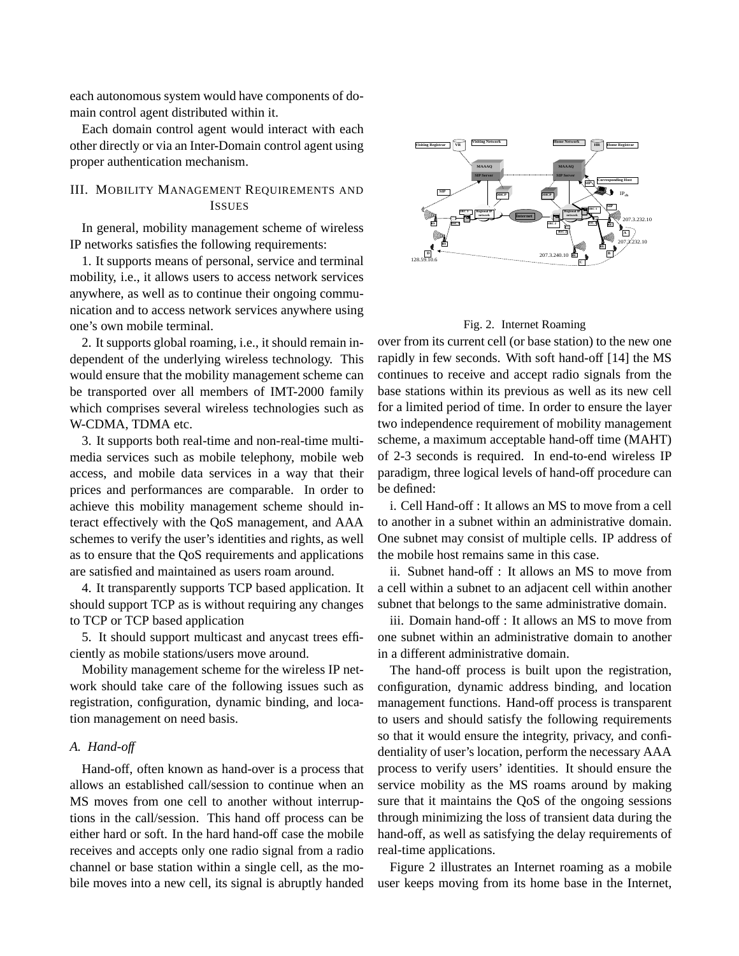each autonomous system would have components of domain control agent distributed within it.

Each domain control agent would interact with each other directly or via an Inter-Domain control agent using proper authentication mechanism.

# III. MOBILITY MANAGEMENT REQUIREMENTS AND ISSUES

In general, mobility management scheme of wireless IP networks satisfies the following requirements:

1. It supports means of personal, service and terminal mobility, i.e., it allows users to access network services anywhere, as well as to continue their ongoing communication and to access network services anywhere using one's own mobile terminal.

2. It supports global roaming, i.e., it should remain independent of the underlying wireless technology. This would ensure that the mobility management scheme can be transported over all members of IMT-2000 family which comprises several wireless technologies such as W-CDMA, TDMA etc.

3. It supports both real-time and non-real-time multimedia services such as mobile telephony, mobile web access, and mobile data services in a way that their prices and performances are comparable. In order to achieve this mobility management scheme should interact effectively with the QoS management, and AAA schemes to verify the user's identities and rights, as well as to ensure that the QoS requirements and applications are satisfied and maintained as users roam around.

4. It transparently supports TCP based application. It should support TCP as is without requiring any changes to TCP or TCP based application

5. It should support multicast and anycast trees efficiently as mobile stations/users move around.

Mobility management scheme for the wireless IP network should take care of the following issues such as registration, configuration, dynamic binding, and location management on need basis.

# *A. Hand-off*

Hand-off, often known as hand-over is a process that allows an established call/session to continue when an MS moves from one cell to another without interruptions in the call/session. This hand off process can be either hard or soft. In the hard hand-off case the mobile receives and accepts only one radio signal from a radio channel or base station within a single cell, as the mobile moves into a new cell, its signal is abruptly handed



#### Fig. 2. Internet Roaming

over from its current cell (or base station) to the new one rapidly in few seconds. With soft hand-off [14] the MS continues to receive and accept radio signals from the base stations within its previous as well as its new cell for a limited period of time. In order to ensure the layer two independence requirement of mobility management scheme, a maximum acceptable hand-off time (MAHT) of 2-3 seconds is required. In end-to-end wireless IP paradigm, three logical levels of hand-off procedure can be defined:

i. Cell Hand-off : It allows an MS to move from a cell to another in a subnet within an administrative domain. One subnet may consist of multiple cells. IP address of the mobile host remains same in this case.

ii. Subnet hand-off : It allows an MS to move from a cell within a subnet to an adjacent cell within another subnet that belongs to the same administrative domain.

iii. Domain hand-off : It allows an MS to move from one subnet within an administrative domain to another in a different administrative domain.

The hand-off process is built upon the registration, configuration, dynamic address binding, and location management functions. Hand-off process is transparent to users and should satisfy the following requirements so that it would ensure the integrity, privacy, and confidentiality of user's location, perform the necessary AAA process to verify users' identities. It should ensure the service mobility as the MS roams around by making sure that it maintains the QoS of the ongoing sessions through minimizing the loss of transient data during the hand-off, as well as satisfying the delay requirements of real-time applications.

Figure 2 illustrates an Internet roaming as a mobile user keeps moving from its home base in the Internet,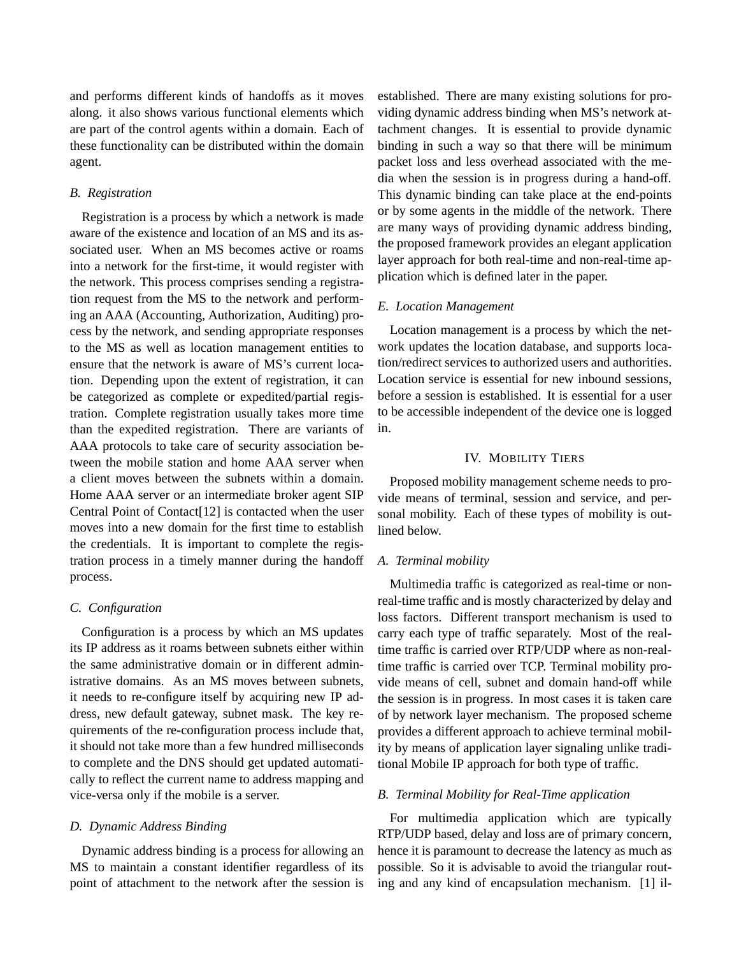and performs different kinds of handoffs as it moves along. it also shows various functional elements which are part of the control agents within a domain. Each of these functionality can be distributed within the domain agent.

## *B. Registration*

Registration is a process by which a network is made aware of the existence and location of an MS and its associated user. When an MS becomes active or roams into a network for the first-time, it would register with the network. This process comprises sending a registration request from the MS to the network and performing an AAA (Accounting, Authorization, Auditing) process by the network, and sending appropriate responses to the MS as well as location management entities to ensure that the network is aware of MS's current location. Depending upon the extent of registration, it can be categorized as complete or expedited/partial registration. Complete registration usually takes more time than the expedited registration. There are variants of AAA protocols to take care of security association between the mobile station and home AAA server when a client moves between the subnets within a domain. Home AAA server or an intermediate broker agent SIP Central Point of Contact[12] is contacted when the user moves into a new domain for the first time to establish the credentials. It is important to complete the registration process in a timely manner during the handoff process.

## *C. Configuration*

Configuration is a process by which an MS updates its IP address as it roams between subnets either within the same administrative domain or in different administrative domains. As an MS moves between subnets, it needs to re-configure itself by acquiring new IP address, new default gateway, subnet mask. The key requirements of the re-configuration process include that, it should not take more than a few hundred milliseconds to complete and the DNS should get updated automatically to reflect the current name to address mapping and vice-versa only if the mobile is a server.

## *D. Dynamic Address Binding*

Dynamic address binding is a process for allowing an MS to maintain a constant identifier regardless of its point of attachment to the network after the session is established. There are many existing solutions for providing dynamic address binding when MS's network attachment changes. It is essential to provide dynamic binding in such a way so that there will be minimum packet loss and less overhead associated with the media when the session is in progress during a hand-off. This dynamic binding can take place at the end-points or by some agents in the middle of the network. There are many ways of providing dynamic address binding, the proposed framework provides an elegant application layer approach for both real-time and non-real-time application which is defined later in the paper.

## *E. Location Management*

Location management is a process by which the network updates the location database, and supports location/redirect services to authorized users and authorities. Location service is essential for new inbound sessions, before a session is established. It is essential for a user to be accessible independent of the device one is logged in.

## IV. MOBILITY TIERS

Proposed mobility management scheme needs to provide means of terminal, session and service, and personal mobility. Each of these types of mobility is outlined below.

#### *A. Terminal mobility*

Multimedia traffic is categorized as real-time or nonreal-time traffic and is mostly characterized by delay and loss factors. Different transport mechanism is used to carry each type of traffic separately. Most of the realtime traffic is carried over RTP/UDP where as non-realtime traffic is carried over TCP. Terminal mobility provide means of cell, subnet and domain hand-off while the session is in progress. In most cases it is taken care of by network layer mechanism. The proposed scheme provides a different approach to achieve terminal mobility by means of application layer signaling unlike traditional Mobile IP approach for both type of traffic.

#### *B. Terminal Mobility for Real-Time application*

For multimedia application which are typically RTP/UDP based, delay and loss are of primary concern, hence it is paramount to decrease the latency as much as possible. So it is advisable to avoid the triangular routing and any kind of encapsulation mechanism. [1] il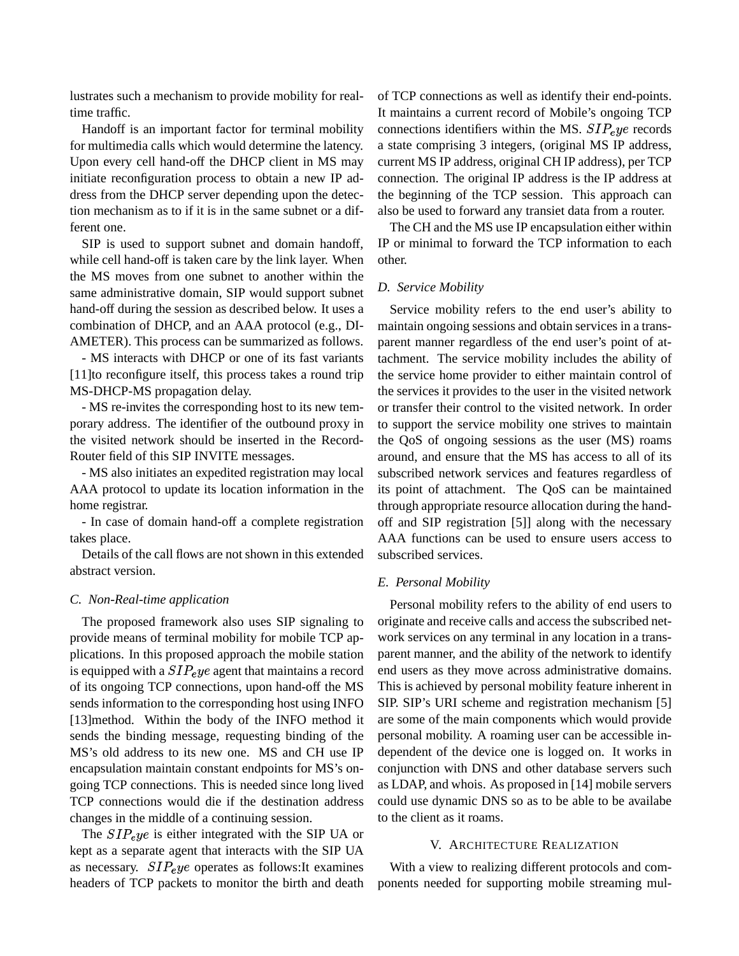lustrates such a mechanism to provide mobility for realtime traffic.

Handoff is an important factor for terminal mobility for multimedia calls which would determine the latency. Upon every cell hand-off the DHCP client in MS may initiate reconfiguration process to obtain a new IP address from the DHCP server depending upon the detection mechanism as to if it is in the same subnet or a different one.

SIP is used to support subnet and domain handoff, while cell hand-off is taken care by the link layer. When the MS moves from one subnet to another within the same administrative domain, SIP would support subnet hand-off during the session as described below. It uses a combination of DHCP, and an AAA protocol (e.g., DI-AMETER). This process can be summarized as follows.

- MS interacts with DHCP or one of its fast variants [11]to reconfigure itself, this process takes a round trip MS-DHCP-MS propagation delay.

- MS re-invites the corresponding host to its new temporary address. The identifier of the outbound proxy in the visited network should be inserted in the Record-Router field of this SIP INVITE messages.

- MS also initiates an expedited registration may local AAA protocol to update its location information in the home registrar.

- In case of domain hand-off a complete registration takes place.

Details of the call flows are not shown in this extended abstract version.

#### *C. Non-Real-time application*

The proposed framework also uses SIP signaling to provide means of terminal mobility for mobile TCP applications. In this proposed approach the mobile station is equipped with a  $SIP_{e}$  ye agent that maintains a record of its ongoing TCP connections, upon hand-off the MS sends information to the corresponding host using INFO [13]method. Within the body of the INFO method it sends the binding message, requesting binding of the MS's old address to its new one. MS and CH use IP encapsulation maintain constant endpoints for MS's ongoing TCP connections. This is needed since long lived TCP connections would die if the destination address changes in the middle of a continuing session.

The  $SIP$ <sub>e</sub> ye is either integrated with the SIP UA or kept as a separate agent that interacts with the SIP UA as necessary.  $SIP_{e}ye$  operates as follows: It examines headers of TCP packets to monitor the birth and death of TCP connections as well as identify their end-points. It maintains a current record of Mobile's ongoing TCP connections identifiers within the MS.  $SIP_{e}ye$  records a state comprising 3 integers, (original MS IP address, current MS IP address, original CH IP address), per TCP connection. The original IP address is the IP address at the beginning of the TCP session. This approach can also be used to forward any transiet data from a router.

The CH and the MS use IP encapsulation either within IP or minimal to forward the TCP information to each other.

#### *D. Service Mobility*

Service mobility refers to the end user's ability to maintain ongoing sessions and obtain services in a transparent manner regardless of the end user's point of attachment. The service mobility includes the ability of the service home provider to either maintain control of the services it provides to the user in the visited network or transfer their control to the visited network. In order to support the service mobility one strives to maintain the QoS of ongoing sessions as the user (MS) roams around, and ensure that the MS has access to all of its subscribed network services and features regardless of its point of attachment. The QoS can be maintained through appropriate resource allocation during the handoff and SIP registration [5]] along with the necessary AAA functions can be used to ensure users access to subscribed services.

#### *E. Personal Mobility*

Personal mobility refers to the ability of end users to originate and receive calls and access the subscribed network services on any terminal in any location in a transparent manner, and the ability of the network to identify end users as they move across administrative domains. This is achieved by personal mobility feature inherent in SIP. SIP's URI scheme and registration mechanism [5] are some of the main components which would provide personal mobility. A roaming user can be accessible independent of the device one is logged on. It works in conjunction with DNS and other database servers such as LDAP, and whois. As proposed in [14] mobile servers could use dynamic DNS so as to be able to be availabe to the client as it roams.

## V. ARCHITECTURE REALIZATION

With a view to realizing different protocols and components needed for supporting mobile streaming mul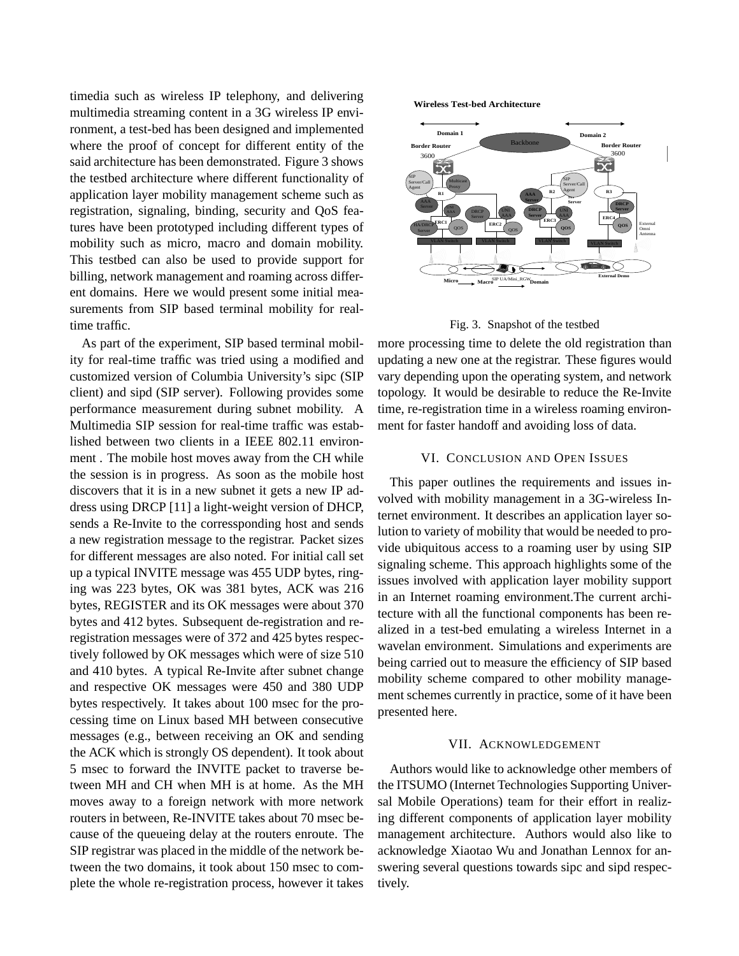timedia such as wireless IP telephony, and delivering multimedia streaming content in a 3G wireless IP environment, a test-bed has been designed and implemented where the proof of concept for different entity of the said architecture has been demonstrated. Figure 3 shows the testbed architecture where different functionality of application layer mobility management scheme such as registration, signaling, binding, security and QoS features have been prototyped including different types of mobility such as micro, macro and domain mobility. This testbed can also be used to provide support for billing, network management and roaming across different domains. Here we would present some initial measurements from SIP based terminal mobility for realtime traffic.

As part of the experiment, SIP based terminal mobility for real-time traffic was tried using a modified and customized version of Columbia University's sipc (SIP client) and sipd (SIP server). Following provides some performance measurement during subnet mobility. A Multimedia SIP session for real-time traffic was established between two clients in a IEEE 802.11 environment . The mobile host moves away from the CH while the session is in progress. As soon as the mobile host discovers that it is in a new subnet it gets a new IP address using DRCP [11] a light-weight version of DHCP, sends a Re-Invite to the corressponding host and sends a new registration message to the registrar. Packet sizes for different messages are also noted. For initial call set up a typical INVITE message was 455 UDP bytes, ringing was 223 bytes, OK was 381 bytes, ACK was 216 bytes, REGISTER and its OK messages were about 370 bytes and 412 bytes. Subsequent de-registration and reregistration messages were of 372 and 425 bytes respectively followed by OK messages which were of size 510 and 410 bytes. A typical Re-Invite after subnet change and respective OK messages were 450 and 380 UDP bytes respectively. It takes about 100 msec for the processing time on Linux based MH between consecutive messages (e.g., between receiving an OK and sending the ACK which is strongly OS dependent). It took about 5 msec to forward the INVITE packet to traverse between MH and CH when MH is at home. As the MH moves away to a foreign network with more network routers in between, Re-INVITE takes about 70 msec because of the queueing delay at the routers enroute. The SIP registrar was placed in the middle of the network between the two domains, it took about 150 msec to complete the whole re-registration process, however it takes **Wireless Test-bed Architecture**





more processing time to delete the old registration than updating a new one at the registrar. These figures would vary depending upon the operating system, and network topology. It would be desirable to reduce the Re-Invite time, re-registration time in a wireless roaming environment for faster handoff and avoiding loss of data.

## VI. CONCLUSION AND OPEN ISSUES

This paper outlines the requirements and issues involved with mobility management in a 3G-wireless Internet environment. It describes an application layer solution to variety of mobility that would be needed to provide ubiquitous access to a roaming user by using SIP signaling scheme. This approach highlights some of the issues involved with application layer mobility support in an Internet roaming environment.The current architecture with all the functional components has been realized in a test-bed emulating a wireless Internet in a wavelan environment. Simulations and experiments are being carried out to measure the efficiency of SIP based mobility scheme compared to other mobility management schemes currently in practice, some of it have been presented here.

## VII. ACKNOWLEDGEMENT

Authors would like to acknowledge other members of the ITSUMO (Internet Technologies Supporting Universal Mobile Operations) team for their effort in realizing different components of application layer mobility management architecture. Authors would also like to acknowledge Xiaotao Wu and Jonathan Lennox for answering several questions towards sipc and sipd respectively.